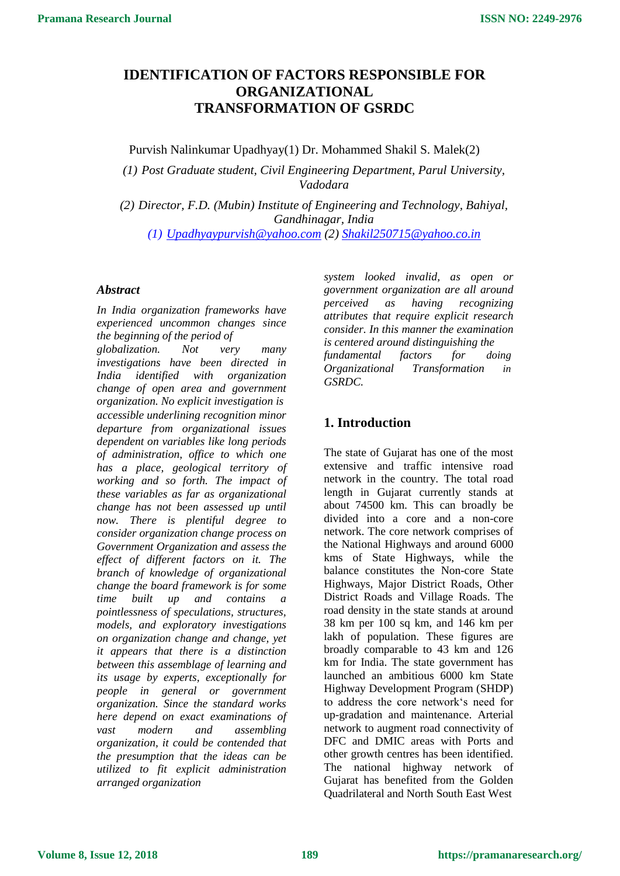# **IDENTIFICATION OF FACTORS RESPONSIBLE FOR ORGANIZATIONAL TRANSFORMATION OF GSRDC**

Purvish Nalinkumar Upadhyay(1) Dr. Mohammed Shakil S. Malek(2)

*(1) Post Graduate student, Civil Engineering Department, Parul University, Vadodara*

*(2) Director, F.D. (Mubin) Institute of Engineering and Technology, Bahiyal, Gandhinagar, India*

*(1) [Upadhyaypurvish@yahoo.com](mailto:Upadhyaypurvish@yahoo.com) (2) [Shakil250715@yahoo.co.in](mailto:Shakil250715@yahoo.co.in)*

#### *Abstract*

*In India organization frameworks have experienced uncommon changes since the beginning of the period of*

*globalization. Not very many investigations have been directed in India identified with organization change of open area and government organization. No explicit investigation is accessible underlining recognition minor departure from organizational issues dependent on variables like long periods of administration, office to which one has a place, geological territory of working and so forth. The impact of these variables as far as organizational change has not been assessed up until now. There is plentiful degree to consider organization change process on Government Organization and assess the effect of different factors on it. The branch of knowledge of organizational change the board framework is for some time built up and contains a pointlessness of speculations, structures, models, and exploratory investigations on organization change and change, yet it appears that there is a distinction between this assemblage of learning and its usage by experts, exceptionally for people in general or government organization. Since the standard works here depend on exact examinations of vast modern and assembling organization, it could be contended that the presumption that the ideas can be utilized to fit explicit administration arranged organization*

*system looked invalid, as open or government organization are all around perceived as having recognizing attributes that require explicit research consider. In this manner the examination is centered around distinguishing the fundamental factors for doing Organizational Transformation in GSRDC.*

## **1. Introduction**

The state of Gujarat has one of the most extensive and traffic intensive road network in the country. The total road length in Gujarat currently stands at about 74500 km. This can broadly be divided into a core and a non-core network. The core network comprises of the National Highways and around 6000 kms of State Highways, while the balance constitutes the Non-core State Highways, Major District Roads, Other District Roads and Village Roads. The road density in the state stands at around 38 km per 100 sq km, and 146 km per lakh of population. These figures are broadly comparable to 43 km and 126 km for India. The state government has launched an ambitious 6000 km State Highway Development Program (SHDP) to address the core network's need for up-gradation and maintenance. Arterial network to augment road connectivity of DFC and DMIC areas with Ports and other growth centres has been identified. The national highway network of Gujarat has benefited from the Golden Quadrilateral and North South East West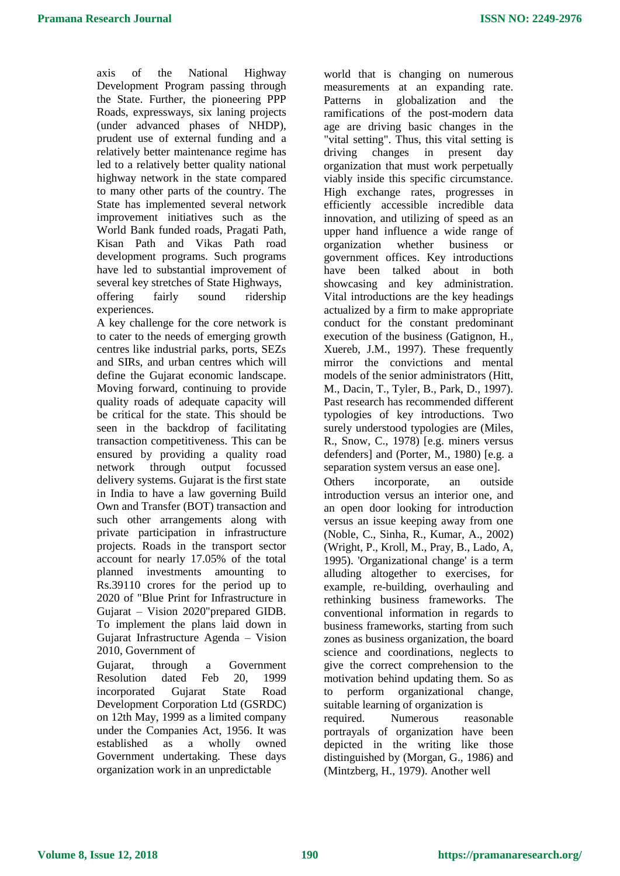axis of the National Highway Development Program passing through the State. Further, the pioneering PPP Roads, expressways, six laning projects (under advanced phases of NHDP), prudent use of external funding and a relatively better maintenance regime has led to a relatively better quality national highway network in the state compared to many other parts of the country. The State has implemented several network improvement initiatives such as the World Bank funded roads, Pragati Path, Kisan Path and Vikas Path road development programs. Such programs have led to substantial improvement of several key stretches of State Highways, offering fairly sound ridership

experiences. A key challenge for the core network is to cater to the needs of emerging growth centres like industrial parks, ports, SEZs and SIRs, and urban centres which will define the Gujarat economic landscape. Moving forward, continuing to provide quality roads of adequate capacity will be critical for the state. This should be seen in the backdrop of facilitating transaction competitiveness. This can be ensured by providing a quality road network through output focussed delivery systems. Gujarat is the first state in India to have a law governing Build Own and Transfer (BOT) transaction and such other arrangements along with private participation in infrastructure projects. Roads in the transport sector account for nearly 17.05% of the total planned investments amounting to Rs.39110 crores for the period up to 2020 of "Blue Print for Infrastructure in Gujarat – Vision 2020"prepared GIDB. To implement the plans laid down in Gujarat Infrastructure Agenda – Vision 2010, Government of

Gujarat, through a Government Resolution dated Feb 20, 1999 incorporated Gujarat State Road Development Corporation Ltd (GSRDC) on 12th May, 1999 as a limited company under the Companies Act, 1956. It was established as a wholly owned Government undertaking. These days organization work in an unpredictable

world that is changing on numerous measurements at an expanding rate. Patterns in globalization and the ramifications of the post-modern data age are driving basic changes in the "vital setting". Thus, this vital setting is driving changes in present day organization that must work perpetually viably inside this specific circumstance. High exchange rates, progresses in efficiently accessible incredible data innovation, and utilizing of speed as an upper hand influence a wide range of organization whether business or government offices. Key introductions have been talked about in both showcasing and key administration. Vital introductions are the key headings actualized by a firm to make appropriate conduct for the constant predominant execution of the business (Gatignon, H., Xuereb, J.M., 1997). These frequently mirror the convictions and mental models of the senior administrators (Hitt, M., Dacin, T., Tyler, B., Park, D., 1997). Past research has recommended different typologies of key introductions. Two surely understood typologies are (Miles, R., Snow, C., 1978) [e.g. miners versus defenders] and (Porter, M., 1980) [e.g. a separation system versus an ease one].

Others incorporate, an outside introduction versus an interior one, and an open door looking for introduction versus an issue keeping away from one (Noble, C., Sinha, R., Kumar, A., 2002) (Wright, P., Kroll, M., Pray, B., Lado, A, 1995). 'Organizational change' is a term alluding altogether to exercises, for example, re-building, overhauling and rethinking business frameworks. The conventional information in regards to business frameworks, starting from such zones as business organization, the board science and coordinations, neglects to give the correct comprehension to the motivation behind updating them. So as to perform organizational change, suitable learning of organization is required. Numerous reasonable portrayals of organization have been depicted in the writing like those distinguished by (Morgan, G., 1986) and

(Mintzberg, H., 1979). Another well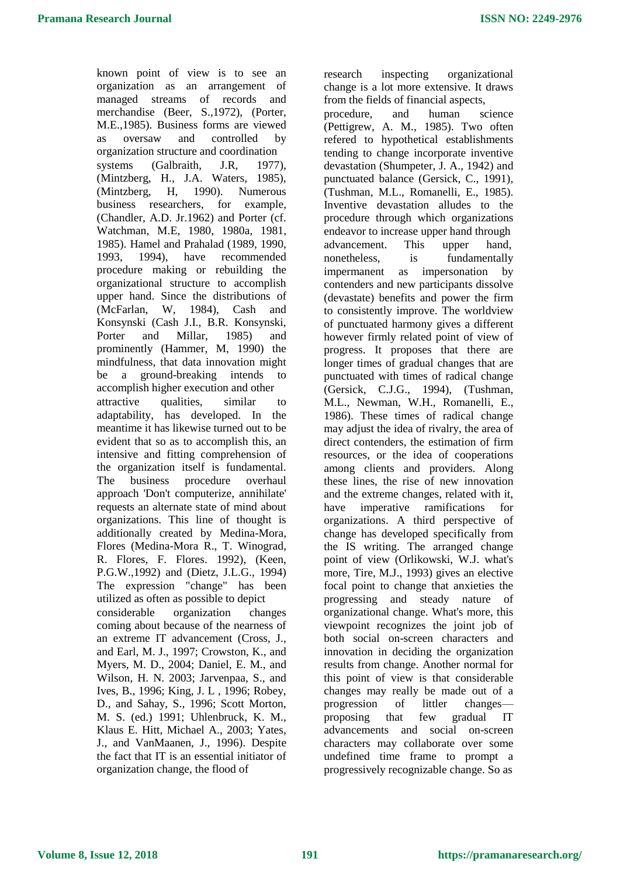known point of view is to see an organization as an arrangement of managed streams of records and merchandise (Beer, S.,1972), (Porter, M.E.,1985). Business forms are viewed as oversaw and controlled by organization structure and coordination systems (Galbraith, J.R, 1977), (Mintzberg, H., J.A. Waters, 1985), (Mintzberg, H, 1990). Numerous business researchers, for example, (Chandler, A.D. Jr.1962) and Porter (cf. Watchman, M.E, 1980, 1980a, 1981, 1985). Hamel and Prahalad (1989, 1990, 1993, 1994), have recommended procedure making or rebuilding the organizational structure to accomplish upper hand. Since the distributions of (McFarlan, W, 1984), Cash and Konsynski (Cash J.I., B.R. Konsynski, Porter and Millar, 1985) and prominently (Hammer, M, 1990) the mindfulness, that data innovation might be a ground-breaking intends to accomplish higher execution and other attractive qualities, similar to adaptability, has developed. In the meantime it has likewise turned out to be evident that so as to accomplish this, an intensive and fitting comprehension of the organization itself is fundamental. The business procedure overhaul approach 'Don't computerize, annihilate' requests an alternate state of mind about organizations. This line of thought is additionally created by Medina-Mora, Flores (Medina-Mora R., T. Winograd, R. Flores, F. Flores. 1992), (Keen, P.G.W.,1992) and (Dietz, J.L.G., 1994) The expression "change" has been utilized as often as possible to depict considerable organization changes coming about because of the nearness of an extreme IT advancement (Cross, J., and Earl, M. J., 1997; Crowston, K., and Myers, M. D., 2004; Daniel, E. M., and Wilson, H. N. 2003; Jarvenpaa, S., and Ives, B., 1996; King, J. L , 1996; Robey, D., and Sahay, S., 1996; Scott Morton, M. S. (ed.) 1991; Uhlenbruck, K. M., Klaus E. Hitt, Michael A., 2003; Yates, J., and VanMaanen, J., 1996). Despite the fact that IT is an essential initiator of organization change, the flood of

research inspecting organizational change is a lot more extensive. It draws from the fields of financial aspects,

procedure, and human science (Pettigrew, A. M., 1985). Two often refered to hypothetical establishments tending to change incorporate inventive devastation (Shumpeter, J. A., 1942) and punctuated balance (Gersick, C., 1991), (Tushman, M.L., Romanelli, E., 1985). Inventive devastation alludes to the procedure through which organizations endeavor to increase upper hand through advancement. This upper hand, nonetheless, is fundamentally impermanent as impersonation by contenders and new participants dissolve (devastate) benefits and power the firm to consistently improve. The worldview of punctuated harmony gives a different however firmly related point of view of progress. It proposes that there are longer times of gradual changes that are punctuated with times of radical change (Gersick, C.J.G., 1994), (Tushman, M.L., Newman, W.H., Romanelli, E., 1986). These times of radical change may adjust the idea of rivalry, the area of direct contenders, the estimation of firm resources, or the idea of cooperations among clients and providers. Along these lines, the rise of new innovation and the extreme changes, related with it, have imperative ramifications for organizations. A third perspective of change has developed specifically from the IS writing. The arranged change point of view (Orlikowski, W.J. what's more, Tire, M.J., 1993) gives an elective focal point to change that anxieties the progressing and steady nature of organizational change. What's more, this viewpoint recognizes the joint job of both social on-screen characters and innovation in deciding the organization results from change. Another normal for this point of view is that considerable changes may really be made out of a progression of littler changes proposing that few gradual IT advancements and social on-screen characters may collaborate over some undefined time frame to prompt a progressively recognizable change. So as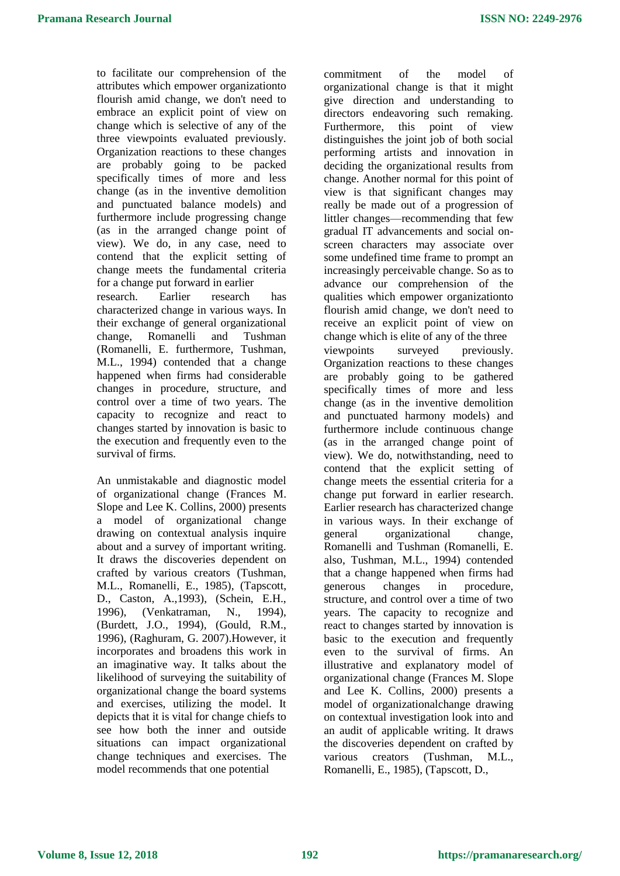to facilitate our comprehension of the attributes which empower organizationto flourish amid change, we don't need to embrace an explicit point of view on change which is selective of any of the three viewpoints evaluated previously. Organization reactions to these changes are probably going to be packed specifically times of more and less change (as in the inventive demolition and punctuated balance models) and furthermore include progressing change (as in the arranged change point of view). We do, in any case, need to contend that the explicit setting of change meets the fundamental criteria for a change put forward in earlier research. Earlier research has characterized change in various ways. In their exchange of general organizational change, Romanelli and Tushman (Romanelli, E. furthermore, Tushman, M.L., 1994) contended that a change happened when firms had considerable changes in procedure, structure, and control over a time of two years. The capacity to recognize and react to changes started by innovation is basic to the execution and frequently even to the survival of firms.

An unmistakable and diagnostic model of organizational change (Frances M. Slope and Lee K. Collins, 2000) presents a model of organizational change drawing on contextual analysis inquire about and a survey of important writing. It draws the discoveries dependent on crafted by various creators (Tushman, M.L., Romanelli, E., 1985), (Tapscott, D., Caston, A.,1993), (Schein, E.H., 1996), (Venkatraman, N., 1994), (Burdett, J.O., 1994), (Gould, R.M., 1996), (Raghuram, G. 2007).However, it incorporates and broadens this work in an imaginative way. It talks about the likelihood of surveying the suitability of organizational change the board systems and exercises, utilizing the model. It depicts that it is vital for change chiefs to see how both the inner and outside situations can impact organizational change techniques and exercises. The model recommends that one potential

commitment of the model of organizational change is that it might give direction and understanding to directors endeavoring such remaking. Furthermore, this point of view distinguishes the joint job of both social performing artists and innovation in deciding the organizational results from change. Another normal for this point of view is that significant changes may really be made out of a progression of littler changes—recommending that few gradual IT advancements and social onscreen characters may associate over some undefined time frame to prompt an increasingly perceivable change. So as to advance our comprehension of the qualities which empower organizationto flourish amid change, we don't need to receive an explicit point of view on change which is elite of any of the three viewpoints surveyed previously. Organization reactions to these changes are probably going to be gathered specifically times of more and less change (as in the inventive demolition and punctuated harmony models) and furthermore include continuous change (as in the arranged change point of view). We do, notwithstanding, need to contend that the explicit setting of change meets the essential criteria for a change put forward in earlier research. Earlier research has characterized change in various ways. In their exchange of general organizational change, Romanelli and Tushman (Romanelli, E. also, Tushman, M.L., 1994) contended that a change happened when firms had generous changes in procedure, structure, and control over a time of two years. The capacity to recognize and react to changes started by innovation is basic to the execution and frequently even to the survival of firms. An illustrative and explanatory model of organizational change (Frances M. Slope and Lee K. Collins, 2000) presents a model of organizationalchange drawing on contextual investigation look into and an audit of applicable writing. It draws the discoveries dependent on crafted by various creators (Tushman, M.L., Romanelli, E., 1985), (Tapscott, D.,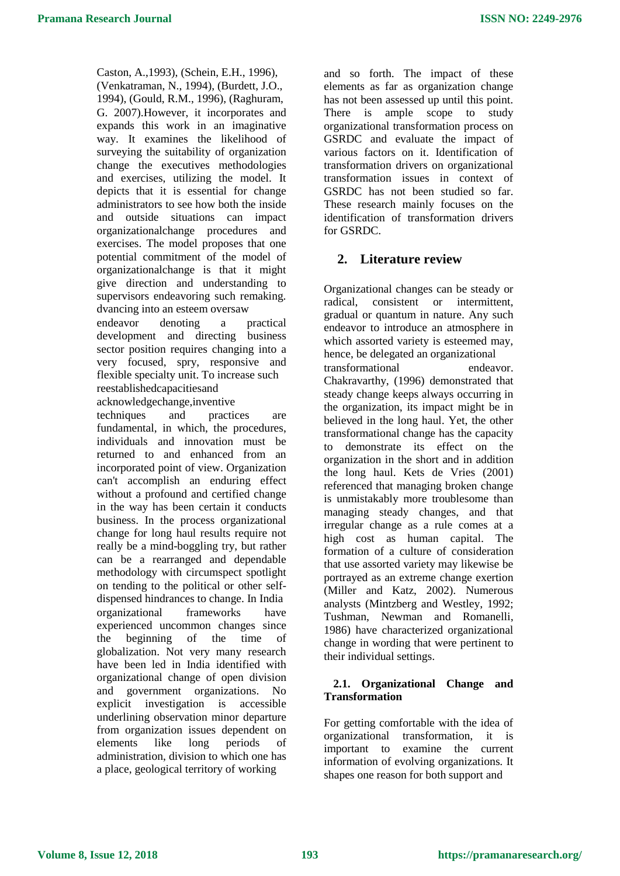Caston, A.,1993), (Schein, E.H., 1996), (Venkatraman, N., 1994), (Burdett, J.O., 1994), (Gould, R.M., 1996), (Raghuram, G. 2007).However, it incorporates and expands this work in an imaginative way. It examines the likelihood of surveying the suitability of organization change the executives methodologies and exercises, utilizing the model. It depicts that it is essential for change administrators to see how both the inside and outside situations can impact organizationalchange procedures and exercises. The model proposes that one potential commitment of the model of organizationalchange is that it might give direction and understanding to supervisors endeavoring such remaking. dvancing into an esteem oversaw endeavor denoting a practical development and directing business sector position requires changing into a very focused, spry, responsive and flexible specialty unit. To increase such reestablishedcapacitiesand acknowledgechange,inventive techniques and practices are fundamental, in which, the procedures, individuals and innovation must be returned to and enhanced from an incorporated point of view. Organization can't accomplish an enduring effect without a profound and certified change in the way has been certain it conducts business. In the process organizational change for long haul results require not really be a mind-boggling try, but rather can be a rearranged and dependable methodology with circumspect spotlight on tending to the political or other selfdispensed hindrances to change. In India organizational frameworks have experienced uncommon changes since the beginning of the time of globalization. Not very many research have been led in India identified with organizational change of open division and government organizations. No explicit investigation is accessible

underlining observation minor departure from organization issues dependent on elements like long periods of administration, division to which one has a place, geological territory of working

and so forth. The impact of these elements as far as organization change has not been assessed up until this point. There is ample scope to study organizational transformation process on GSRDC and evaluate the impact of various factors on it. Identification of transformation drivers on organizational transformation issues in context of GSRDC has not been studied so far. These research mainly focuses on the identification of transformation drivers for GSRDC.

### **2. Literature review**

Organizational changes can be steady or radical, consistent or intermittent, gradual or quantum in nature. Any such endeavor to introduce an atmosphere in which assorted variety is esteemed may, hence, be delegated an organizational transformational endeavor. Chakravarthy, (1996) demonstrated that steady change keeps always occurring in the organization, its impact might be in believed in the long haul. Yet, the other transformational change has the capacity to demonstrate its effect on the organization in the short and in addition the long haul. Kets de Vries (2001) referenced that managing broken change is unmistakably more troublesome than managing steady changes, and that irregular change as a rule comes at a high cost as human capital. The formation of a culture of consideration that use assorted variety may likewise be portrayed as an extreme change exertion (Miller and Katz, 2002). Numerous analysts (Mintzberg and Westley, 1992; Tushman, Newman and Romanelli, 1986) have characterized organizational change in wording that were pertinent to their individual settings.

#### **2.1. Organizational Change and Transformation**

For getting comfortable with the idea of organizational transformation, it is important to examine the current information of evolving organizations. It shapes one reason for both support and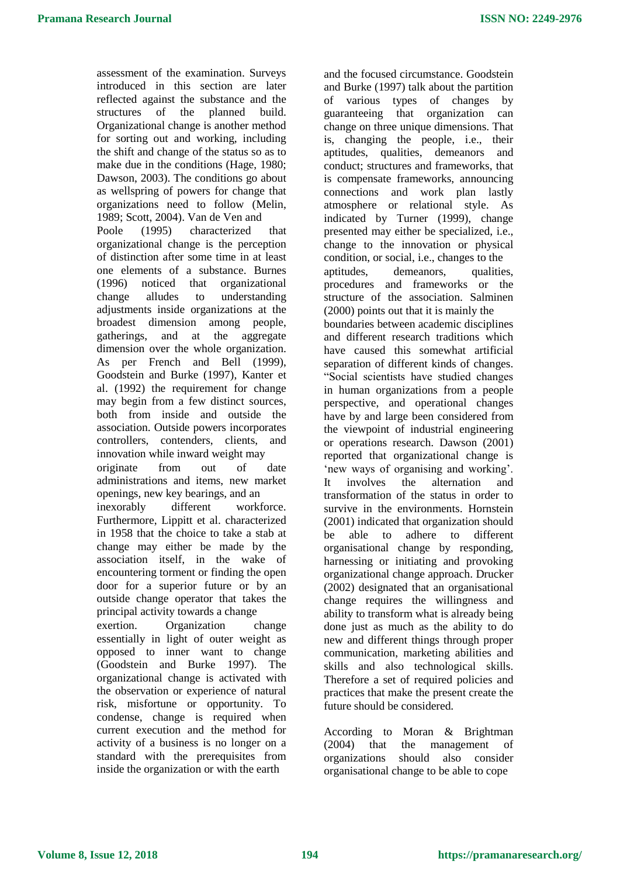assessment of the examination. Surveys introduced in this section are later reflected against the substance and the structures of the planned build. Organizational change is another method for sorting out and working, including the shift and change of the status so as to make due in the conditions (Hage, 1980; Dawson, 2003). The conditions go about as wellspring of powers for change that organizations need to follow (Melin, 1989; Scott, 2004). Van de Ven and Poole (1995) characterized that organizational change is the perception of distinction after some time in at least one elements of a substance. Burnes (1996) noticed that organizational change alludes to understanding adjustments inside organizations at the broadest dimension among people, gatherings, and at the aggregate dimension over the whole organization. As per French and Bell (1999), Goodstein and Burke (1997), Kanter et al. (1992) the requirement for change may begin from a few distinct sources, both from inside and outside the association. Outside powers incorporates controllers, contenders, clients, and innovation while inward weight may originate from out of date administrations and items, new market openings, new key bearings, and an inexorably different workforce. Furthermore, Lippitt et al. characterized in 1958 that the choice to take a stab at change may either be made by the association itself, in the wake of encountering torment or finding the open door for a superior future or by an outside change operator that takes the principal activity towards a change exertion. Organization change essentially in light of outer weight as opposed to inner want to change (Goodstein and Burke 1997). The

organizational change is activated with the observation or experience of natural risk, misfortune or opportunity. To condense, change is required when current execution and the method for activity of a business is no longer on a standard with the prerequisites from inside the organization or with the earth

and the focused circumstance. Goodstein and Burke (1997) talk about the partition of various types of changes by guaranteeing that organization can change on three unique dimensions. That is, changing the people, i.e., their aptitudes, qualities, demeanors and conduct; structures and frameworks, that is compensate frameworks, announcing connections and work plan lastly atmosphere or relational style. As indicated by Turner (1999), change presented may either be specialized, i.e., change to the innovation or physical condition, or social, i.e., changes to the aptitudes, demeanors, qualities, procedures and frameworks or the structure of the association. Salminen (2000) points out that it is mainly the boundaries between academic disciplines and different research traditions which have caused this somewhat artificial separation of different kinds of changes. ―Social scientists have studied changes in human organizations from a people perspective, and operational changes have by and large been considered from the viewpoint of industrial engineering or operations research. Dawson (2001) reported that organizational change is ‗new ways of organising and working'. It involves the alternation and transformation of the status in order to survive in the environments. Hornstein (2001) indicated that organization should be able to adhere to different organisational change by responding, harnessing or initiating and provoking organizational change approach. Drucker (2002) designated that an organisational change requires the willingness and ability to transform what is already being done just as much as the ability to do new and different things through proper communication, marketing abilities and skills and also technological skills. Therefore a set of required policies and practices that make the present create the future should be considered.

According to Moran & Brightman (2004) that the management of organizations should also consider organisational change to be able to cope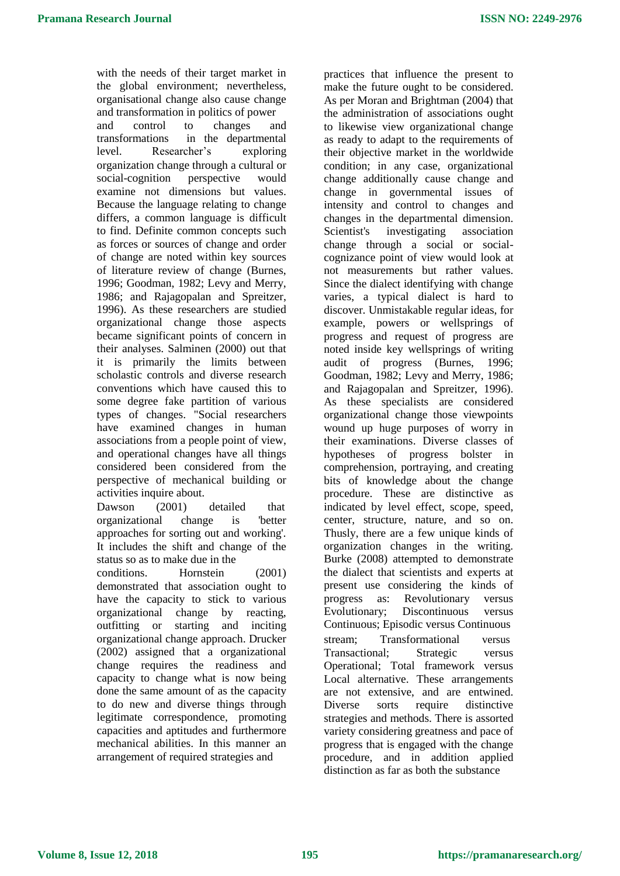with the needs of their target market in the global environment; nevertheless, organisational change also cause change and transformation in politics of power and control to changes and transformations in the departmental level. Researcher's exploring organization change through a cultural or social-cognition perspective would examine not dimensions but values. Because the language relating to change differs, a common language is difficult to find. Definite common concepts such as forces or sources of change and order of change are noted within key sources of literature review of change (Burnes, 1996; Goodman, 1982; Levy and Merry, 1986; and Rajagopalan and Spreitzer, 1996). As these researchers are studied organizational change those aspects became significant points of concern in their analyses. Salminen (2000) out that it is primarily the limits between scholastic controls and diverse research conventions which have caused this to some degree fake partition of various types of changes. "Social researchers have examined changes in human associations from a people point of view, and operational changes have all things considered been considered from the perspective of mechanical building or activities inquire about.

Dawson (2001) detailed that organizational change is 'better approaches for sorting out and working'. It includes the shift and change of the status so as to make due in the

conditions. Hornstein (2001) demonstrated that association ought to have the capacity to stick to various organizational change by reacting, outfitting or starting and inciting organizational change approach. Drucker (2002) assigned that a organizational change requires the readiness and capacity to change what is now being done the same amount of as the capacity to do new and diverse things through legitimate correspondence, promoting capacities and aptitudes and furthermore mechanical abilities. In this manner an arrangement of required strategies and

practices that influence the present to make the future ought to be considered. As per Moran and Brightman (2004) that the administration of associations ought to likewise view organizational change as ready to adapt to the requirements of their objective market in the worldwide condition; in any case, organizational change additionally cause change and change in governmental issues of intensity and control to changes and changes in the departmental dimension. Scientist's investigating association change through a social or socialcognizance point of view would look at not measurements but rather values. Since the dialect identifying with change varies, a typical dialect is hard to discover. Unmistakable regular ideas, for example, powers or wellsprings of progress and request of progress are noted inside key wellsprings of writing audit of progress (Burnes, 1996; Goodman, 1982; Levy and Merry, 1986; and Rajagopalan and Spreitzer, 1996). As these specialists are considered organizational change those viewpoints wound up huge purposes of worry in their examinations. Diverse classes of hypotheses of progress bolster in comprehension, portraying, and creating bits of knowledge about the change procedure. These are distinctive as indicated by level effect, scope, speed, center, structure, nature, and so on. Thusly, there are a few unique kinds of organization changes in the writing. Burke (2008) attempted to demonstrate the dialect that scientists and experts at present use considering the kinds of progress as: Revolutionary versus Evolutionary; Discontinuous versus Continuous; Episodic versus Continuous stream; Transformational versus Transactional; Strategic versus Operational; Total framework versus Local alternative. These arrangements are not extensive, and are entwined. Diverse sorts require distinctive strategies and methods. There is assorted variety considering greatness and pace of progress that is engaged with the change procedure, and in addition applied distinction as far as both the substance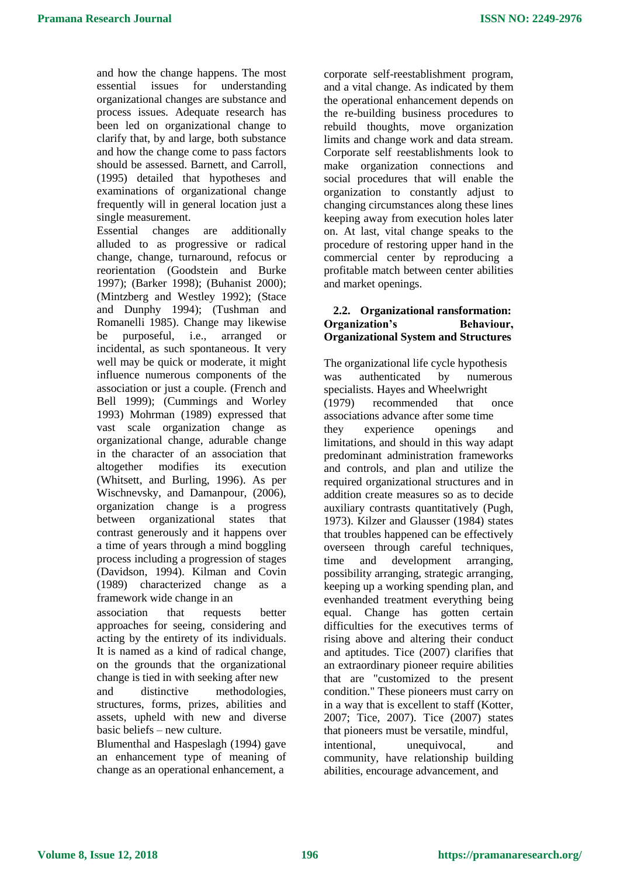and how the change happens. The most essential issues for understanding organizational changes are substance and process issues. Adequate research has been led on organizational change to clarify that, by and large, both substance and how the change come to pass factors should be assessed. Barnett, and Carroll, (1995) detailed that hypotheses and examinations of organizational change frequently will in general location just a single measurement.

Essential changes are additionally alluded to as progressive or radical change, change, turnaround, refocus or reorientation (Goodstein and Burke 1997); (Barker 1998); (Buhanist 2000); (Mintzberg and Westley 1992); (Stace and Dunphy 1994); (Tushman and Romanelli 1985). Change may likewise be purposeful, i.e., arranged or incidental, as such spontaneous. It very well may be quick or moderate, it might influence numerous components of the association or just a couple. (French and Bell 1999); (Cummings and Worley 1993) Mohrman (1989) expressed that vast scale organization change as organizational change, adurable change in the character of an association that altogether modifies its execution (Whitsett, and Burling, 1996). As per Wischnevsky, and Damanpour, (2006), organization change is a progress between organizational states that contrast generously and it happens over a time of years through a mind boggling process including a progression of stages (Davidson, 1994). Kilman and Covin (1989) characterized change as a framework wide change in an

association that requests better approaches for seeing, considering and acting by the entirety of its individuals. It is named as a kind of radical change, on the grounds that the organizational change is tied in with seeking after new and distinctive methodologies, structures, forms, prizes, abilities and assets, upheld with new and diverse basic beliefs – new culture.

Blumenthal and Haspeslagh (1994) gave an enhancement type of meaning of change as an operational enhancement, a

corporate self-reestablishment program, and a vital change. As indicated by them the operational enhancement depends on the re-building business procedures to rebuild thoughts, move organization limits and change work and data stream. Corporate self reestablishments look to make organization connections and social procedures that will enable the organization to constantly adjust to changing circumstances along these lines keeping away from execution holes later on. At last, vital change speaks to the procedure of restoring upper hand in the commercial center by reproducing a profitable match between center abilities and market openings.

#### **2.2. Organizational ransformation: Organization's Behaviour, Organizational System and Structures**

The organizational life cycle hypothesis was authenticated by numerous specialists. Hayes and Wheelwright (1979) recommended that once associations advance after some time they experience openings and limitations, and should in this way adapt predominant administration frameworks and controls, and plan and utilize the required organizational structures and in addition create measures so as to decide auxiliary contrasts quantitatively (Pugh, 1973). Kilzer and Glausser (1984) states that troubles happened can be effectively overseen through careful techniques, time and development arranging, possibility arranging, strategic arranging, keeping up a working spending plan, and evenhanded treatment everything being equal. Change has gotten certain difficulties for the executives terms of rising above and altering their conduct and aptitudes. Tice (2007) clarifies that an extraordinary pioneer require abilities that are "customized to the present condition." These pioneers must carry on in a way that is excellent to staff (Kotter, 2007; Tice, 2007). Tice (2007) states that pioneers must be versatile, mindful, intentional, unequivocal, and community, have relationship building abilities, encourage advancement, and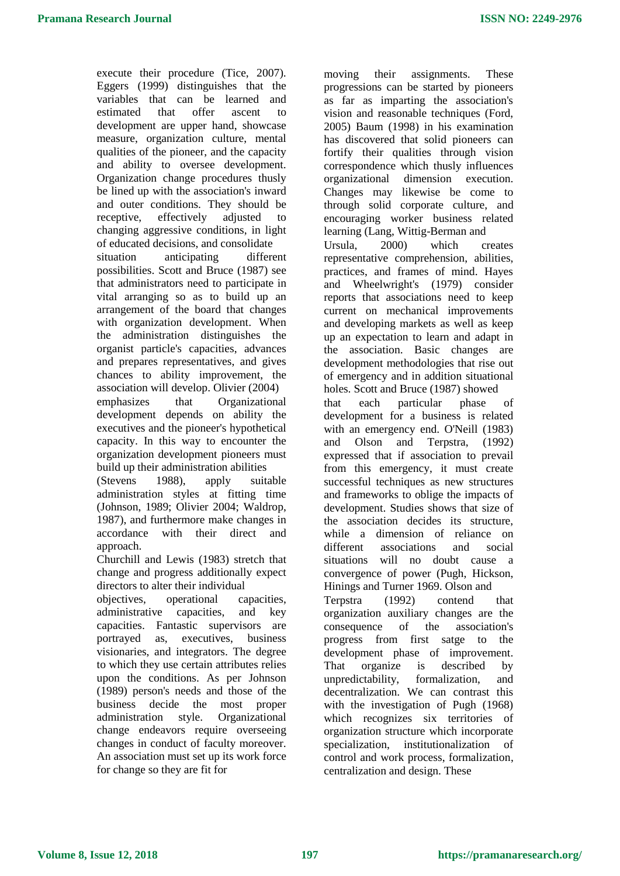execute their procedure (Tice, 2007). Eggers (1999) distinguishes that the variables that can be learned and estimated that offer ascent to development are upper hand, showcase measure, organization culture, mental qualities of the pioneer, and the capacity and ability to oversee development. Organization change procedures thusly be lined up with the association's inward and outer conditions. They should be receptive, effectively adjusted to changing aggressive conditions, in light of educated decisions, and consolidate situation anticipating different possibilities. Scott and Bruce (1987) see that administrators need to participate in vital arranging so as to build up an arrangement of the board that changes with organization development. When the administration distinguishes the organist particle's capacities, advances and prepares representatives, and gives chances to ability improvement, the association will develop. Olivier (2004) emphasizes that Organizational development depends on ability the executives and the pioneer's hypothetical capacity. In this way to encounter the organization development pioneers must build up their administration abilities (Stevens 1988), apply suitable

administration styles at fitting time (Johnson, 1989; Olivier 2004; Waldrop, 1987), and furthermore make changes in accordance with their direct and approach.

Churchill and Lewis (1983) stretch that change and progress additionally expect directors to alter their individual

objectives, operational capacities, administrative capacities, and key capacities. Fantastic supervisors are portrayed as, executives, business visionaries, and integrators. The degree to which they use certain attributes relies upon the conditions. As per Johnson (1989) person's needs and those of the business decide the most proper administration style. Organizational change endeavors require overseeing changes in conduct of faculty moreover. An association must set up its work force for change so they are fit for

moving their assignments. These progressions can be started by pioneers as far as imparting the association's vision and reasonable techniques (Ford, 2005) Baum (1998) in his examination has discovered that solid pioneers can fortify their qualities through vision correspondence which thusly influences organizational dimension execution. Changes may likewise be come to through solid corporate culture, and encouraging worker business related learning (Lang, Wittig-Berman and

Ursula, 2000) which creates representative comprehension, abilities, practices, and frames of mind. Hayes and Wheelwright's (1979) consider reports that associations need to keep current on mechanical improvements and developing markets as well as keep up an expectation to learn and adapt in the association. Basic changes are development methodologies that rise out of emergency and in addition situational holes. Scott and Bruce (1987) showed

that each particular phase of development for a business is related with an emergency end. O'Neill (1983) and Olson and Terpstra, (1992) expressed that if association to prevail from this emergency, it must create successful techniques as new structures and frameworks to oblige the impacts of development. Studies shows that size of the association decides its structure, while a dimension of reliance on different associations and social situations will no doubt cause a convergence of power (Pugh, Hickson, Hinings and Turner 1969. Olson and Terpstra (1992) contend that organization auxiliary changes are the consequence of the association's progress from first satge to the development phase of improvement. That organize is described by unpredictability, formalization, and decentralization. We can contrast this with the investigation of Pugh (1968) which recognizes six territories of organization structure which incorporate specialization, institutionalization of control and work process, formalization, centralization and design. These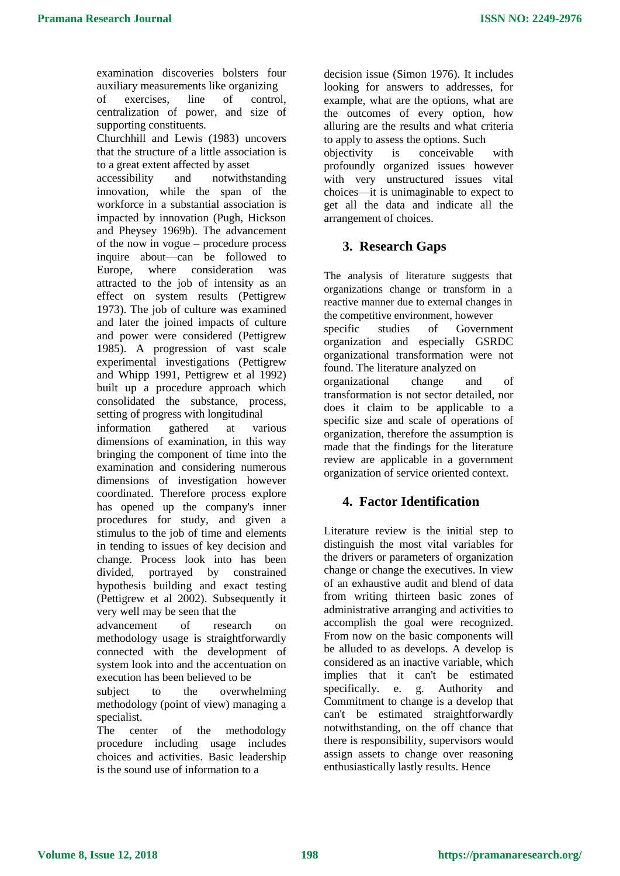examination discoveries bolsters four auxiliary measurements like organizing of exercises, line of control, centralization of power, and size of supporting constituents. Churchhill and Lewis (1983) uncovers that the structure of a little association is to a great extent affected by asset accessibility and notwithstanding innovation, while the span of the workforce in a substantial association is impacted by innovation (Pugh, Hickson and Pheysey 1969b). The advancement of the now in vogue – procedure process inquire about—can be followed to Europe, where consideration was attracted to the job of intensity as an effect on system results (Pettigrew 1973). The job of culture was examined and later the joined impacts of culture and power were considered (Pettigrew 1985). A progression of vast scale experimental investigations (Pettigrew and Whipp 1991, Pettigrew et al 1992)

built up a procedure approach which consolidated the substance, process, setting of progress with longitudinal information gathered at various

dimensions of examination, in this way bringing the component of time into the examination and considering numerous dimensions of investigation however coordinated. Therefore process explore has opened up the company's inner procedures for study, and given a stimulus to the job of time and elements in tending to issues of key decision and change. Process look into has been divided, portrayed by constrained hypothesis building and exact testing (Pettigrew et al 2002). Subsequently it very well may be seen that the

advancement of research on methodology usage is straightforwardly connected with the development of system look into and the accentuation on execution has been believed to be

subject to the overwhelming methodology (point of view) managing a specialist.

The center of the methodology procedure including usage includes choices and activities. Basic leadership is the sound use of information to a

decision issue (Simon 1976). It includes looking for answers to addresses, for example, what are the options, what are the outcomes of every option, how alluring are the results and what criteria to apply to assess the options. Such objectivity is conceivable with profoundly organized issues however with very unstructured issues vital choices—it is unimaginable to expect to get all the data and indicate all the arrangement of choices.

# **3. Research Gaps**

The analysis of literature suggests that organizations change or transform in a reactive manner due to external changes in the competitive environment, however specific studies of Government organization and especially GSRDC organizational transformation were not found. The literature analyzed on organizational change and of transformation is not sector detailed, nor does it claim to be applicable to a specific size and scale of operations of organization, therefore the assumption is made that the findings for the literature review are applicable in a government organization of service oriented context.

## **4. Factor Identification**

Literature review is the initial step to distinguish the most vital variables for the drivers or parameters of organization change or change the executives. In view of an exhaustive audit and blend of data from writing thirteen basic zones of administrative arranging and activities to accomplish the goal were recognized. From now on the basic components will be alluded to as develops. A develop is considered as an inactive variable, which implies that it can't be estimated specifically. e. g. Authority and Commitment to change is a develop that can't be estimated straightforwardly notwithstanding, on the off chance that there is responsibility, supervisors would assign assets to change over reasoning enthusiastically lastly results. Hence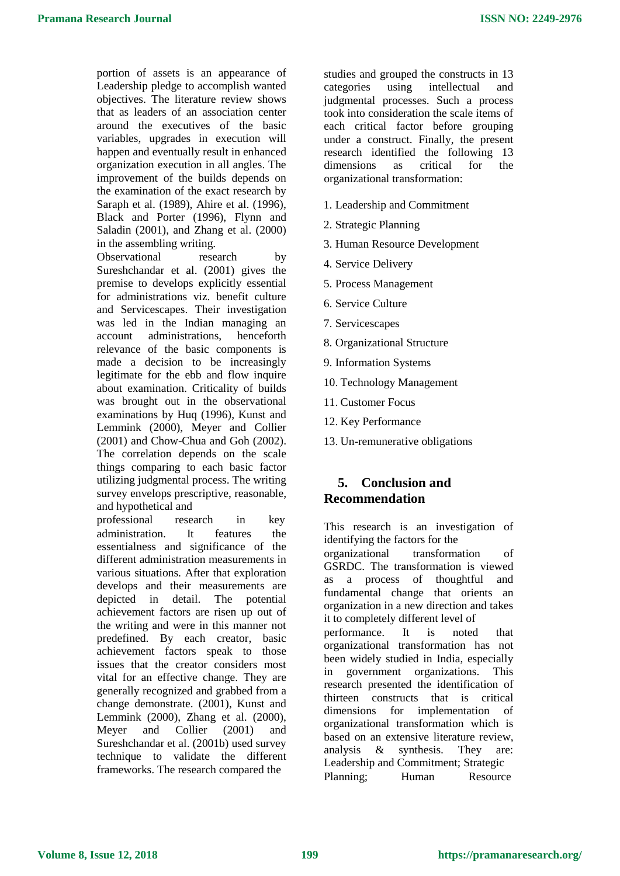portion of assets is an appearance of Leadership pledge to accomplish wanted objectives. The literature review shows that as leaders of an association center around the executives of the basic variables, upgrades in execution will happen and eventually result in enhanced organization execution in all angles. The improvement of the builds depends on the examination of the exact research by Saraph et al. (1989), Ahire et al. (1996), Black and Porter (1996), Flynn and Saladin (2001), and Zhang et al. (2000) in the assembling writing.

Observational research by Sureshchandar et al. (2001) gives the premise to develops explicitly essential for administrations viz. benefit culture and Servicescapes. Their investigation was led in the Indian managing an account administrations, henceforth relevance of the basic components is made a decision to be increasingly legitimate for the ebb and flow inquire about examination. Criticality of builds was brought out in the observational examinations by Huq (1996), Kunst and Lemmink (2000), Meyer and Collier (2001) and Chow-Chua and Goh (2002). The correlation depends on the scale things comparing to each basic factor utilizing judgmental process. The writing survey envelops prescriptive, reasonable, and hypothetical and

professional research in key administration. It features the essentialness and significance of the different administration measurements in various situations. After that exploration develops and their measurements are depicted in detail. The potential achievement factors are risen up out of the writing and were in this manner not predefined. By each creator, basic achievement factors speak to those issues that the creator considers most vital for an effective change. They are generally recognized and grabbed from a change demonstrate. (2001), Kunst and Lemmink (2000), Zhang et al. (2000), Meyer and Collier (2001) and Sureshchandar et al. (2001b) used survey technique to validate the different frameworks. The research compared the

studies and grouped the constructs in 13 categories using intellectual and judgmental processes. Such a process took into consideration the scale items of each critical factor before grouping under a construct. Finally, the present research identified the following 13 dimensions as critical for the organizational transformation:

- 1. Leadership and Commitment
- 2. Strategic Planning
- 3. Human Resource Development
- 4. Service Delivery
- 5. Process Management
- 6. Service Culture
- 7. Servicescapes
- 8. Organizational Structure
- 9. Information Systems
- 10. Technology Management
- 11. Customer Focus
- 12. Key Performance
- 13. Un-remunerative obligations

## **5. Conclusion and Recommendation**

This research is an investigation of identifying the factors for the organizational transformation of GSRDC. The transformation is viewed as a process of thoughtful and fundamental change that orients an organization in a new direction and takes it to completely different level of performance. It is noted that organizational transformation has not been widely studied in India, especially in government organizations. This research presented the identification of thirteen constructs that is critical dimensions for implementation of organizational transformation which is based on an extensive literature review, analysis & synthesis. They are: Leadership and Commitment; Strategic Planning: Human Resource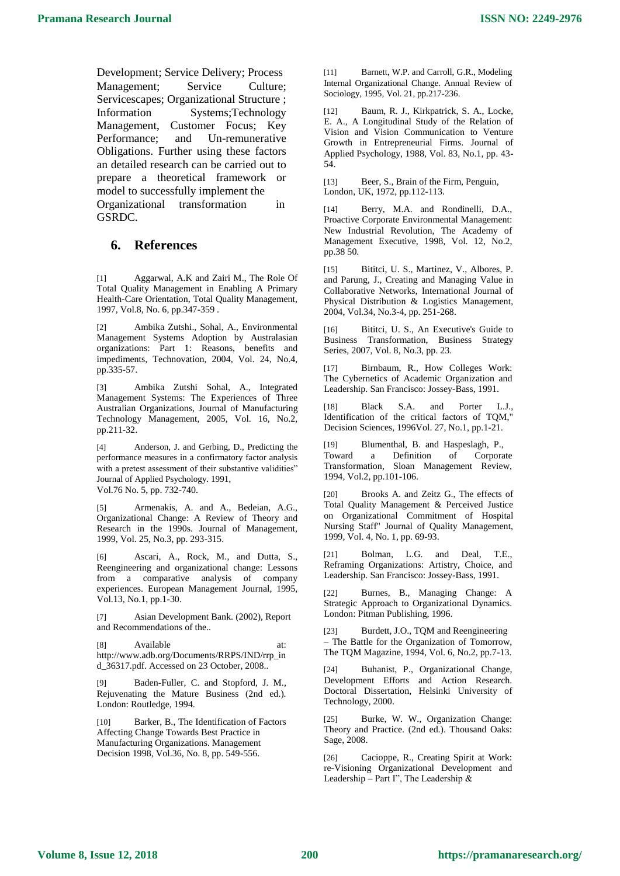Development; Service Delivery; Process Management; Service Culture; Servicescapes; Organizational Structure ; Information Systems;Technology Management, Customer Focus; Key Performance; and Un-remunerative Obligations. Further using these factors an detailed research can be carried out to prepare a theoretical framework or model to successfully implement the Organizational transformation in GSRDC.

### **6. References**

[1] Aggarwal, A.K and Zairi M., The Role Of Total Quality Management in Enabling A Primary Health-Care Orientation, Total Quality Management, 1997, Vol.8, No. 6, pp.347-359 .

[2] Ambika Zutshi., Sohal, A., Environmental Management Systems Adoption by Australasian organizations: Part 1: Reasons, benefits and impediments, Technovation, 2004, Vol. 24, No.4, pp.335-57.

[3] Ambika Zutshi Sohal, A., Integrated Management Systems: The Experiences of Three Australian Organizations, Journal of Manufacturing Technology Management, 2005, Vol. 16, No.2, pp.211-32.

[4] Anderson, J. and Gerbing, D., Predicting the performance measures in a confirmatory factor analysis with a pretest assessment of their substantive validities" Journal of Applied Psychology. 1991, Vol.76 No. 5, pp. 732-740.

[5] Armenakis, A. and A., Bedeian, A.G., Organizational Change: A Review of Theory and Research in the 1990s. Journal of Management, 1999, Vol. 25, No.3, pp. 293-315.

Ascari, A., Rock, M., and Dutta, S., Reengineering and organizational change: Lessons from a comparative analysis of company experiences. European Management Journal, 1995, Vol.13, No.1, pp.1-30.

[7] Asian Development Bank. (2002), Report and Recommendations of the..

[8] Available at: http://www.adb.org/Documents/RRPS/IND/rrp\_in d\_36317.pdf. Accessed on 23 October, 2008..

[9] Baden-Fuller, C. and Stopford, J. M., Rejuvenating the Mature Business (2nd ed.). London: Routledge, 1994.

[10] Barker, B., The Identification of Factors Affecting Change Towards Best Practice in Manufacturing Organizations. Management Decision 1998, Vol.36, No. 8, pp. 549-556.

[11] Barnett, W.P. and Carroll, G.R., Modeling Internal Organizational Change. Annual Review of Sociology, 1995, Vol. 21, pp.217-236.

[12] Baum, R. J., Kirkpatrick, S. A., Locke, E. A., A Longitudinal Study of the Relation of Vision and Vision Communication to Venture Growth in Entrepreneurial Firms. Journal of Applied Psychology, 1988, Vol. 83, No.1, pp. 43- 54.

[13] Beer, S., Brain of the Firm, Penguin, London, UK, 1972, pp.112-113.

[14] Berry, M.A. and Rondinelli, D.A., Proactive Corporate Environmental Management: New Industrial Revolution, The Academy of Management Executive, 1998, Vol. 12, No.2, pp.38 50.

[15] Bititci, U. S., Martinez, V., Albores, P. and Parung, J., Creating and Managing Value in Collaborative Networks, International Journal of Physical Distribution & Logistics Management, 2004, Vol.34, No.3-4, pp. 251-268.

[16] Bititci, U. S., An Executive's Guide to Business Transformation, Business Strategy Series, 2007, Vol. 8, No.3, pp. 23.

Birnbaum, R., How Colleges Work: The Cybernetics of Academic Organization and Leadership. San Francisco: Jossey-Bass, 1991.

[18] Black S.A. and Porter L.J., Identification of the critical factors of TQM," Decision Sciences, 1996Vol. 27, No.1, pp.1-21.

[19] Blumenthal, B. and Haspeslagh, P., Toward a Definition of Corporate Transformation, Sloan Management Review, 1994, Vol.2, pp.101-106.

[20] Brooks A. and Zeitz G., The effects of Total Quality Management & Perceived Justice on Organizational Commitment of Hospital Nursing Staff" Journal of Quality Management, 1999, Vol. 4, No. 1, pp. 69-93.

[21] Bolman, L.G. and Deal, T.E., Reframing Organizations: Artistry, Choice, and Leadership. San Francisco: Jossey-Bass, 1991.

[22] Burnes, B., Managing Change: A Strategic Approach to Organizational Dynamics. London: Pitman Publishing, 1996.

[23] Burdett, J.O., TQM and Reengineering – The Battle for the Organization of Tomorrow, The TQM Magazine, 1994, Vol. 6, No.2, pp.7-13.

[24] Buhanist, P., Organizational Change, Development Efforts and Action Research. Doctoral Dissertation, Helsinki University of Technology, 2000.

[25] Burke, W. W., Organization Change: Theory and Practice. (2nd ed.). Thousand Oaks: Sage, 2008.

[26] Cacioppe, R., Creating Spirit at Work: re-Visioning Organizational Development and Leadership – Part I", The Leadership  $\&$